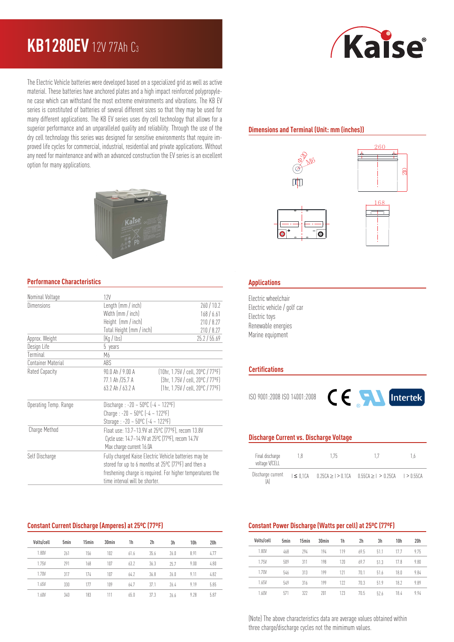## **KB1280EV** 12V 77Ah C<sup>3</sup>

The Electric Vehicle batteries were developed based on a specialized grid as well as active material. These batteries have anchored plates and a high impact reinforced polypropylene case which can withstand the most extreme environments and vibrations. The KB EV series is constituted of batteries of several different sizes so that they may be used for many different applications. The KB EV series uses dry cell technology that allows for a superior performance and an unparalleled quality and reliability. Through the use of the dry cell technology this series was designed for sensitive environments that require improved life cycles for commercial, industrial, residential and private applications. Without any need for maintenance and with an advanced construction the EV series is an excellent option for many applications.



#### **Performance Characteristics**

| 12V                                                        |                                                   |  |  |  |
|------------------------------------------------------------|---------------------------------------------------|--|--|--|
| Length (mm / inch)                                         | 260/10.2                                          |  |  |  |
| Width (mm / inch)                                          | 168/6.61                                          |  |  |  |
| Height (mm / inch)                                         | 210/8.27                                          |  |  |  |
| Total Height (mm / inch)                                   | 210 / 8.27                                        |  |  |  |
| (Kg / lbs)<br>25.2 / 55.69                                 |                                                   |  |  |  |
| 5 years                                                    |                                                   |  |  |  |
| M6                                                         |                                                   |  |  |  |
| ABS                                                        |                                                   |  |  |  |
| $90.0$ Ah $/$ $9.00$ A                                     | $(10hr, 1.75V / cell, 20^{\circ}C / 77^{\circ}F)$ |  |  |  |
| 77.1 Ah /25.7 A                                            | (3hr, 1.75V / cell, 20°C / 77°F)                  |  |  |  |
| 63.2 Ah / 63.2 A                                           | $[1hr, 1.75V / cell, 20^{\circ}C / 77^{\circ}F]$  |  |  |  |
| Discharge: $-20 - 50^{\circ}$ C $(-4 - 122^{\circ}F)$      |                                                   |  |  |  |
| Charge: $-20 - 50^{\circ}$ C $(-4 - 122^{\circ}F)$         |                                                   |  |  |  |
| Storage: $-20 - 50^{\circ}$ C $(-4 - 122^{\circ}F)$        |                                                   |  |  |  |
|                                                            |                                                   |  |  |  |
| Cycle use: 14.7~14.9V at 25°C (77°F), recom 14.7V          |                                                   |  |  |  |
| Max charge current 16.0A                                   |                                                   |  |  |  |
| Fully charged Kaise Electric Vehicle batteries may be      |                                                   |  |  |  |
| stored for up to 6 months at 25°C (77°F) and then a        |                                                   |  |  |  |
| freshening charge is required. For higher temperatures the |                                                   |  |  |  |
| time interval will be shorter.                             |                                                   |  |  |  |
|                                                            | Float use: 13.7~13.9V at 25°C (77°F), recom 13.8V |  |  |  |

### **Constant Current Discharge (Amperes) at 25ºC (77ºF)**

| Volts/cell | 5 <sub>min</sub> | 15min | 30 <sub>min</sub> | 1h   | 2h   | 3h   | 10h  | 20 <sub>h</sub> |
|------------|------------------|-------|-------------------|------|------|------|------|-----------------|
| 1.80V      | 261              | 156   | 102               | 61.6 | 35.6 | 26.0 | 8.91 | 4.77            |
| 1.75V      | 291              | 168   | 107               | 63.2 | 36.3 | 757  | 9.00 | 4.80            |
| 1.70V      | 317              | 174   | 107               | 64.2 | 36.8 | 26.0 | 9.11 | 4.82            |
| 1.65V      | 330              | 177   | 109               | 64.7 | 37.1 | 764  | 9.19 | 5.85            |
| 1.60V      | 340              | 183   | 111               | 65.0 | 37.3 | 26.6 | 9.28 | 5.87            |

# *Kaise*

#### **Dimensions and Terminal (Unit: mm (inches))**









#### **Applications**

Electric wheelchair Electric vehicle / golf car Electric toys Renewable energies Marine equipment

#### **Certifications**

ISO 9001:2008 ISO 14001:2008



#### **Discharge Current vs. Discharge Voltage**

| Final discharge<br>voltage V/CELL | 18 | 175 |                                                                                 | Ιh |
|-----------------------------------|----|-----|---------------------------------------------------------------------------------|----|
| Discharge current<br>ÍA'          |    |     | $1 \le 0.1$ CA $0.25$ CA $> 1 > 0.1$ CA $0.55$ CA $> 1 > 0.25$ CA $1 > 0.55$ CA |    |

#### **Constant Power Discharge (Watts per cell) at 25ºC (77ºF)**

| Volts/cell | 5 <sub>min</sub> | 15min | 30 <sub>min</sub> | 1h  | 2h   | 3h   | 10 <sub>h</sub> | 20 <sub>h</sub> |
|------------|------------------|-------|-------------------|-----|------|------|-----------------|-----------------|
| 1.80V      | 468              | 294   | 194               | 119 | 69.5 | 51.1 | 177             | 9.75            |
| 1.75V      | 509              | 311   | 198               | 120 | 697  | 51.3 | 17.8            | 9.80            |
| 1.70V      | 546              | 313   | 199               | 121 | 70.1 | 516  | 18.0            | 9.84            |
| 1.65V      | 549              | 316   | 199               | 177 | 70.3 | 519  | 18.2            | 9.89            |
| 1.60V      | 571              | 322   | 201               | 123 | 70.5 | 526  | 184             | 9.94            |

(Note) The above characteristics data are average values obtained within three charge/discharge cycles not the mimimum values.